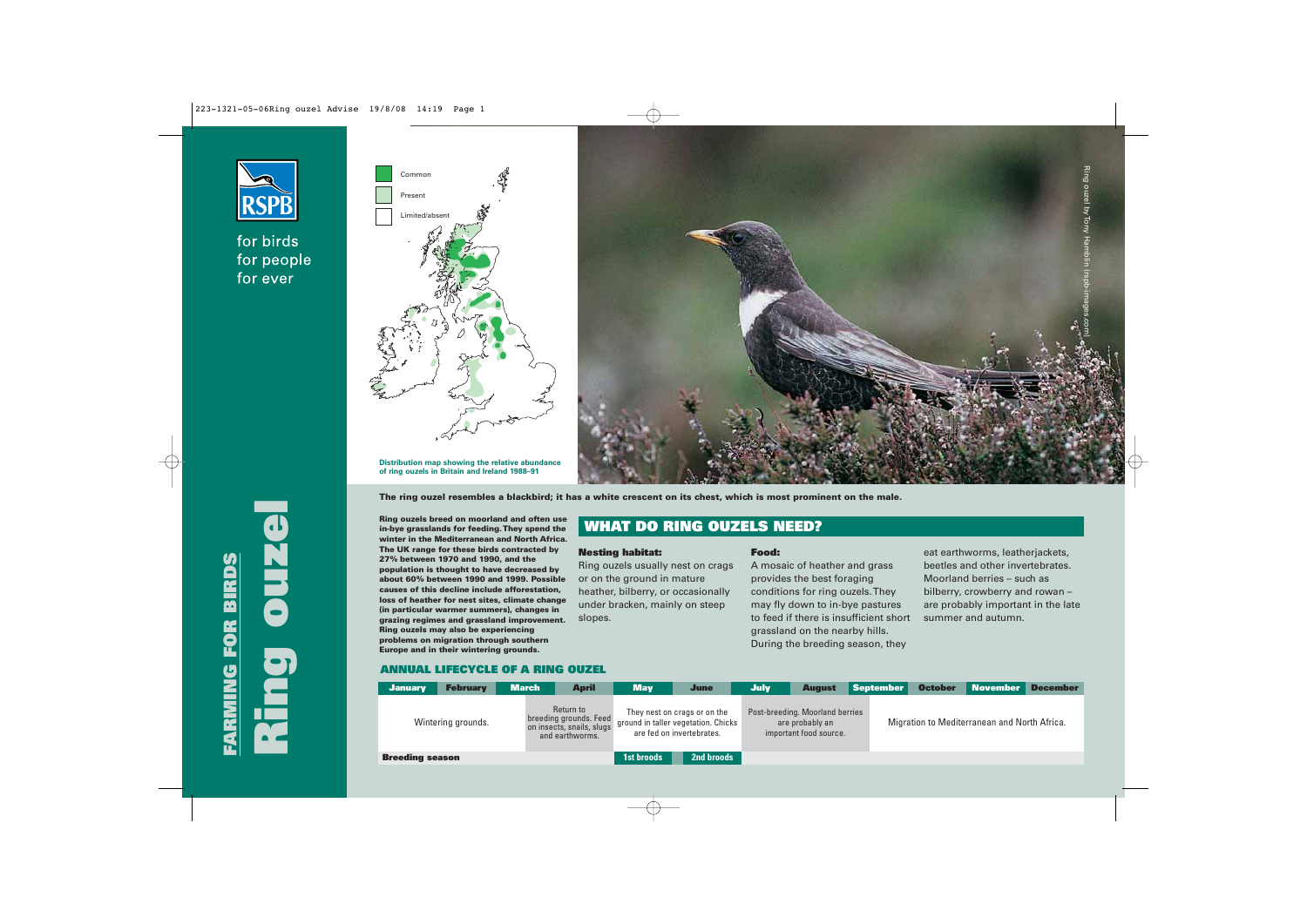

# for birds for people for ever





**Distribution map showing the relative abundance of ring ouzels in Britain and Ireland 1988–91**

**Ring ouzels breed on moorland and often use**

**The UK range for these birds contracted by 27% between 1970 and 1990, and the population is thought to have decreased by about 60% between 1990 and 1999. Possible causes of this decline include afforestation, loss of heather for nest sites, climate change (in particular warmer summers), changes in grazing regimes and grassland improvement. Ring ouzels may also be experiencing problems on migration through southern Europe and in their wintering grounds.**

**in-bye grasslands for feeding. They spend the winter in the Mediterranean and North Africa. WHAT DO RING OUZELS NEED?**

**The ring ouzel resembles a blackbird; it has a white crescent on its chest, which is most prominent on the male.**

## **Nesting habitat:**

Ring ouzels usually nest on crags or on the ground in mature heather, bilberry, or occasionally under bracken, mainly on steep slopes.

#### **Food:**

A mosaic of heather and grass provides the best foraging conditions for ring ouzels. They may fly down to in-bye pastures to feed if there is insufficient short grassland on the nearby hills. During the breeding season, they

eat earthworms, leatherjackets, beetles and other invertebrates. Moorland berries – such as bilberry, crowberry and rowan – are probably important in the late summer and autumn.

# **ANNUAL LIFECYCLE OF A RING OUZEL**

| <b>January</b>         | <b>February</b> | <b>March</b>                                                                        | <b>April</b> | <b>May</b>                                                                                            | <b>June</b> | <b>July</b> | <b>August</b>                                                                | September | <b>October</b>                               | November | <b>December</b> |  |
|------------------------|-----------------|-------------------------------------------------------------------------------------|--------------|-------------------------------------------------------------------------------------------------------|-------------|-------------|------------------------------------------------------------------------------|-----------|----------------------------------------------|----------|-----------------|--|
| Wintering grounds.     |                 | Return to<br>breeding grounds. Feed<br>on insects, snails, slugs<br>and earthworms. |              | They nest on crags or on the<br>$\P$ ground in taller vegetation. Chicks<br>are fed on invertebrates. |             |             | Post-breeding. Moorland berries<br>are probably an<br>important food source. |           | Migration to Mediterranean and North Africa. |          |                 |  |
| <b>Breeding season</b> |                 |                                                                                     | 1st broods   | 2nd broods                                                                                            |             |             |                                                                              |           |                                              |          |                 |  |

**Ring ouzel FARMING FOR BIRDS NG FOR BIRDS**